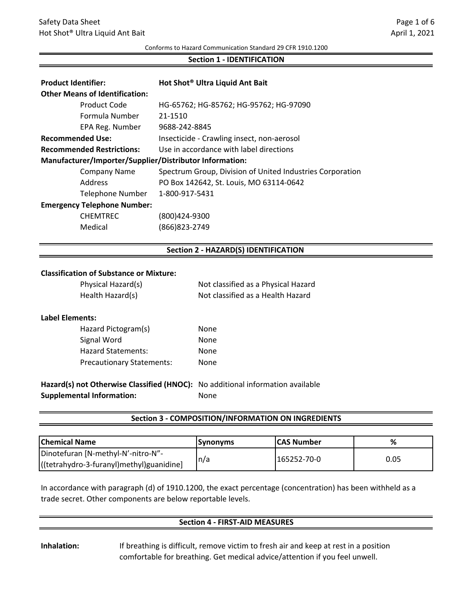#### Conforms to Hazard Communication Standard 29 CFR 1910.1200

#### **Section 1 ‐ IDENTIFICATION**

| <b>Product Identifier:</b><br><b>Other Means of Identification:</b> | Hot Shot <sup>®</sup> Ultra Liquid Ant Bait               |
|---------------------------------------------------------------------|-----------------------------------------------------------|
| Product Code                                                        | HG-65762; HG-85762; HG-95762; HG-97090                    |
| Formula Number                                                      | 21-1510                                                   |
| EPA Reg. Number                                                     | 9688-242-8845                                             |
| <b>Recommended Use:</b>                                             | Insecticide - Crawling insect, non-aerosol                |
| <b>Recommended Restrictions:</b>                                    | Use in accordance with label directions                   |
| Manufacturer/Importer/Supplier/Distributor Information:             |                                                           |
| Company Name                                                        | Spectrum Group, Division of United Industries Corporation |
| Address                                                             | PO Box 142642, St. Louis, MO 63114-0642                   |
| <b>Telephone Number</b>                                             | 1-800-917-5431                                            |
| <b>Emergency Telephone Number:</b>                                  |                                                           |
| <b>CHEMTREC</b>                                                     | (800)424-9300                                             |
| Medical                                                             | (866)823-2749                                             |

### **Section 2 ‐ HAZARD(S) IDENTIFICATION**

#### **Classification of Substance or Mixture:**

| Physical Hazard(s) | Not classified as a Physical Hazard |
|--------------------|-------------------------------------|
| Health Hazard(s)   | Not classified as a Health Hazard   |

#### **Label Elements:**

| Hazard Pictogram(s)              | None |
|----------------------------------|------|
| Signal Word                      | None |
| <b>Hazard Statements:</b>        | None |
| <b>Precautionary Statements:</b> | None |

**Hazard(s) not Otherwise Classified (HNOC):** No additional information available **Supplemental Information:** None

### **Section 3 ‐ COMPOSITION/INFORMATION ON INGREDIENTS**

| <b>Chemical Name</b>                     | <b>Synonyms</b> | <b>ICAS Number</b> | %    |
|------------------------------------------|-----------------|--------------------|------|
| Dinotefuran [N-methyl-N'-nitro-N"-       | In/a            | 165252-70-0        | 0.05 |
| ((tetrahydro-3-furanyl)methyl)guanidine] |                 |                    |      |

In accordance with paragraph (d) of 1910.1200, the exact percentage (concentration) has been withheld as a trade secret. Other components are below reportable levels.

#### **Section 4 ‐ FIRST‐AID MEASURES**

**Inhalation:** If breathing is difficult, remove victim to fresh air and keep at rest in a position comfortable for breathing. Get medical advice/attention if you feel unwell.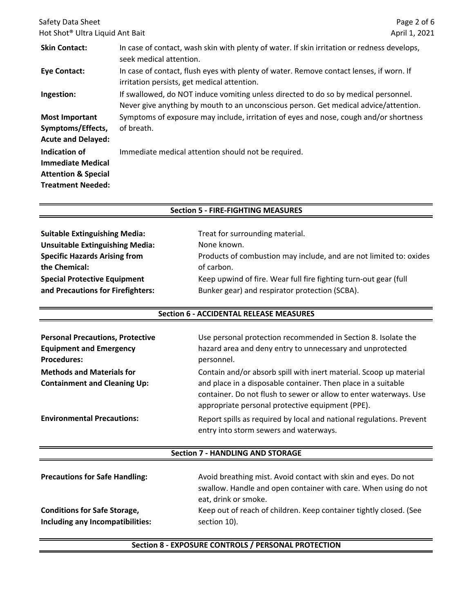| Safety Data Sheet                                                                                       |                                                                                                                                                                             | Page 2 of 6   |
|---------------------------------------------------------------------------------------------------------|-----------------------------------------------------------------------------------------------------------------------------------------------------------------------------|---------------|
| Hot Shot <sup>®</sup> Ultra Liquid Ant Bait                                                             |                                                                                                                                                                             | April 1, 2021 |
| <b>Skin Contact:</b>                                                                                    | In case of contact, wash skin with plenty of water. If skin irritation or redness develops,<br>seek medical attention.                                                      |               |
| <b>Eye Contact:</b>                                                                                     | In case of contact, flush eyes with plenty of water. Remove contact lenses, if worn. If<br>irritation persists, get medical attention.                                      |               |
| Ingestion:                                                                                              | If swallowed, do NOT induce vomiting unless directed to do so by medical personnel.<br>Never give anything by mouth to an unconscious person. Get medical advice/attention. |               |
| <b>Most Important</b><br>Symptoms/Effects,<br><b>Acute and Delayed:</b>                                 | Symptoms of exposure may include, irritation of eyes and nose, cough and/or shortness<br>of breath.                                                                         |               |
| Indication of<br><b>Immediate Medical</b><br><b>Attention &amp; Special</b><br><b>Treatment Needed:</b> | Immediate medical attention should not be required.                                                                                                                         |               |

## **Section 5 ‐ FIRE‐FIGHTING MEASURES**

| <b>Suitable Extinguishing Media:</b>   | Treat for surrounding material.                                    |
|----------------------------------------|--------------------------------------------------------------------|
| <b>Unsuitable Extinguishing Media:</b> | None known.                                                        |
| <b>Specific Hazards Arising from</b>   | Products of combustion may include, and are not limited to: oxides |
| the Chemical:                          | of carbon.                                                         |
| <b>Special Protective Equipment</b>    | Keep upwind of fire. Wear full fire fighting turn-out gear (full   |
| and Precautions for Firefighters:      | Bunker gear) and respirator protection (SCBA).                     |

### **Section 6 ‐ ACCIDENTAL RELEASE MEASURES**

| <b>Personal Precautions, Protective</b> | Use personal protection recommended in Section 8. Isolate the                                                                                                                          |
|-----------------------------------------|----------------------------------------------------------------------------------------------------------------------------------------------------------------------------------------|
| <b>Equipment and Emergency</b>          | hazard area and deny entry to unnecessary and unprotected                                                                                                                              |
| <b>Procedures:</b>                      | personnel.                                                                                                                                                                             |
| <b>Methods and Materials for</b>        | Contain and/or absorb spill with inert material. Scoop up material                                                                                                                     |
| <b>Containment and Cleaning Up:</b>     | and place in a disposable container. Then place in a suitable<br>container. Do not flush to sewer or allow to enter waterways. Use<br>appropriate personal protective equipment (PPE). |
| <b>Environmental Precautions:</b>       | Report spills as required by local and national regulations. Prevent<br>entry into storm sewers and waterways.                                                                         |

### **Section 7 ‐ HANDLING AND STORAGE**

| <b>Precautions for Safe Handling:</b> | Avoid breathing mist. Avoid contact with skin and eyes. Do not<br>swallow. Handle and open container with care. When using do not<br>eat, drink or smoke. |
|---------------------------------------|-----------------------------------------------------------------------------------------------------------------------------------------------------------|
| <b>Conditions for Safe Storage,</b>   | Keep out of reach of children. Keep container tightly closed. (See                                                                                        |
| Including any Incompatibilities:      | section 10).                                                                                                                                              |

## **Section 8 ‐ EXPOSURE CONTROLS / PERSONAL PROTECTION**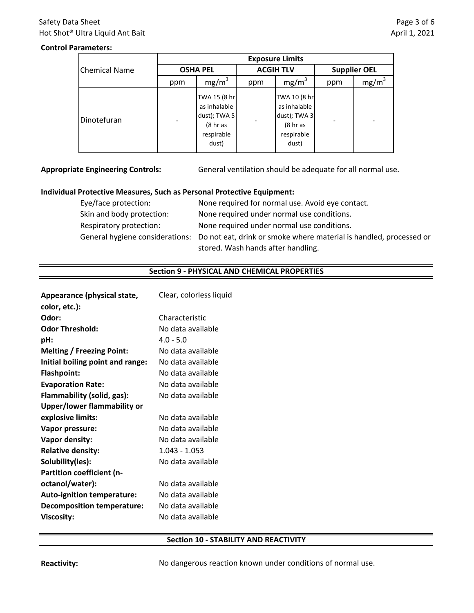# Safety Data Sheet Hot Shot® Ultra Liquid Ant Bait

## **Control Parameters:**

|                      | <b>Exposure Limits</b> |                                                                                            |                  |                                                                                            |                     |                   |
|----------------------|------------------------|--------------------------------------------------------------------------------------------|------------------|--------------------------------------------------------------------------------------------|---------------------|-------------------|
| <b>Chemical Name</b> | <b>OSHA PEL</b>        |                                                                                            | <b>ACGIH TLV</b> |                                                                                            | <b>Supplier OEL</b> |                   |
|                      | ppm                    | mg/m <sup>3</sup>                                                                          | ppm              | mg/m <sup>3</sup>                                                                          | ppm                 | mg/m <sup>3</sup> |
| Dinotefuran          |                        | TWA 15 (8 hr<br>as inhalable<br>dust); TWA 5<br>(8 <sub>hr</sub> as<br>respirable<br>dust) |                  | TWA 10 (8 hr<br>as inhalable<br>dust); TWA 3<br>(8 <sub>hr</sub> as<br>respirable<br>dust) |                     |                   |

**Appropriate Engineering Controls:**

General ventilation should be adequate for all normal use.

### **Individual Protective Measures, Such as Personal Protective Equipment:**

| Eye/face protection:      | None required for normal use. Avoid eye contact.                                                   |
|---------------------------|----------------------------------------------------------------------------------------------------|
| Skin and body protection: | None required under normal use conditions.                                                         |
| Respiratory protection:   | None required under normal use conditions.                                                         |
|                           | General hygiene considerations: Do not eat, drink or smoke where material is handled, processed or |
|                           | stored. Wash hands after handling.                                                                 |

### **Section 9 ‐ PHYSICAL AND CHEMICAL PROPERTIES**

| Appearance (physical state,       | Clear, colorless liquid |
|-----------------------------------|-------------------------|
| color, etc.):                     |                         |
| Odor:                             | Characteristic          |
| <b>Odor Threshold:</b>            | No data available       |
| pH:                               | $4.0 - 5.0$             |
| <b>Melting / Freezing Point:</b>  | No data available       |
| Initial boiling point and range:  | No data available       |
| <b>Flashpoint:</b>                | No data available       |
| <b>Evaporation Rate:</b>          | No data available       |
| Flammability (solid, gas):        | No data available       |
| Upper/lower flammability or       |                         |
| explosive limits:                 | No data available       |
| Vapor pressure:                   | No data available       |
| <b>Vapor density:</b>             | No data available       |
| <b>Relative density:</b>          | $1.043 - 1.053$         |
| Solubility(ies):                  | No data available       |
| Partition coefficient (n-         |                         |
| octanol/water):                   | No data available       |
| <b>Auto-ignition temperature:</b> | No data available       |
| <b>Decomposition temperature:</b> | No data available       |
| <b>Viscosity:</b>                 | No data available       |
|                                   |                         |

### **Section 10 ‐ STABILITY AND REACTIVITY**

Reactivity: No dangerous reaction known under conditions of normal use.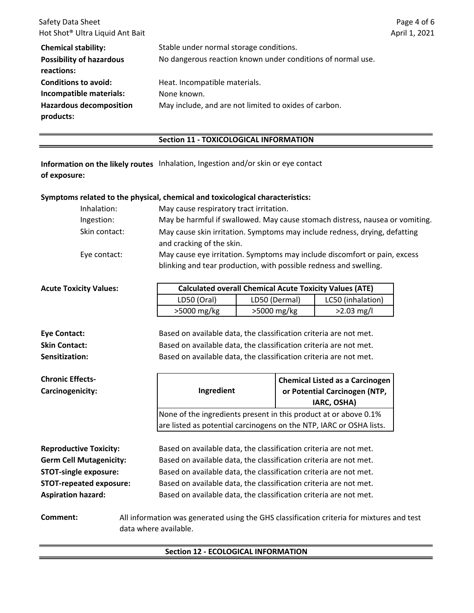| Safety Data Sheet                           |                                                             | Page 4 of 6   |
|---------------------------------------------|-------------------------------------------------------------|---------------|
| Hot Shot <sup>®</sup> Ultra Liquid Ant Bait |                                                             | April 1, 2021 |
| <b>Chemical stability:</b>                  | Stable under normal storage conditions.                     |               |
| <b>Possibility of hazardous</b>             | No dangerous reaction known under conditions of normal use. |               |
| reactions:                                  |                                                             |               |
| <b>Conditions to avoid:</b>                 | Heat. Incompatible materials.                               |               |
| Incompatible materials:                     | None known.                                                 |               |
| <b>Hazardous decomposition</b><br>products: | May include, and are not limited to oxides of carbon.       |               |

### **Section 11 ‐ TOXICOLOGICAL INFORMATION**

Information on the likely routes Inhalation, Ingestion and/or skin or eye contact **of exposure:**

# **Symptoms related to the physical, chemical and toxicological characteristics:**

| Inhalation:   | May cause respiratory tract irritation.                                                                                                        |
|---------------|------------------------------------------------------------------------------------------------------------------------------------------------|
| Ingestion:    | May be harmful if swallowed. May cause stomach distress, nausea or vomiting.                                                                   |
| Skin contact: | May cause skin irritation. Symptoms may include redness, drying, defatting<br>and cracking of the skin.                                        |
| Eye contact:  | May cause eye irritation. Symptoms may include discomfort or pain, excess<br>blinking and tear production, with possible redness and swelling. |

| <b>Acute Toxicity Values:</b> | <b>Calculated overall Chemical Acute Toxicity Values (ATE)</b> |               |                   |
|-------------------------------|----------------------------------------------------------------|---------------|-------------------|
|                               | LD50 (Oral)                                                    | LD50 (Dermal) | LC50 (inhalation) |
|                               | $>5000$ mg/kg                                                  | >5000 mg/kg   | $>2.03$ mg/l      |

| <b>Eye Contact:</b>                         | Based on available data, the classification criteria are not met.                                                  |
|---------------------------------------------|--------------------------------------------------------------------------------------------------------------------|
| <b>Skin Contact:</b>                        | Based on available data, the classification criteria are not met.                                                  |
| Sensitization:                              | Based on available data, the classification criteria are not met.                                                  |
| <b>Chronic Effects-</b><br>Carcinogenicity: | <b>Chemical Listed as a Carcinogen</b><br>Ingredient<br>or Potential Carcinogen (NTP,<br>IARC, OSHA)               |
|                                             | None of the ingredients present in this product at or above 0.1%                                                   |
|                                             | are listed as potential carcinogens on the NTP, IARC or OSHA lists.                                                |
|                                             |                                                                                                                    |
| <b>Reproductive Toxicity:</b>               | Based on available data, the classification criteria are not met.                                                  |
| <b>Germ Cell Mutagenicity:</b>              | Based on available data, the classification criteria are not met.                                                  |
| <b>STOT-single exposure:</b>                | Based on available data, the classification criteria are not met.                                                  |
| <b>STOT-repeated exposure:</b>              | Based on available data, the classification criteria are not met.                                                  |
| <b>Aspiration hazard:</b>                   | Based on available data, the classification criteria are not met.                                                  |
| Comment:                                    | All information was generated using the GHS classification criteria for mixtures and test<br>data where available. |

# **Section 12 ‐ ECOLOGICAL INFORMATION**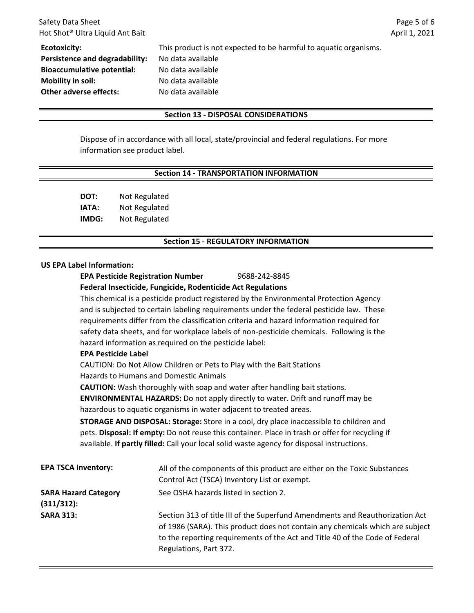| Safety Data Sheet                           |                                                                  | Pag   |
|---------------------------------------------|------------------------------------------------------------------|-------|
| Hot Shot <sup>®</sup> Ultra Liquid Ant Bait |                                                                  | April |
| Ecotoxicity:                                | This product is not expected to be harmful to aquatic organisms. |       |
| Persistence and degradability:              | No data available                                                |       |
| <b>Bioaccumulative potential:</b>           | No data available                                                |       |
| <b>Mobility in soil:</b>                    | No data available                                                |       |
| <b>Other adverse effects:</b>               | No data available                                                |       |

### **Section 13 ‐ DISPOSAL CONSIDERATIONS**

Dispose of in accordance with all local, state/provincial and federal regulations. For more information see product label.

#### **Section 14 ‐ TRANSPORTATION INFORMATION**

**DOT:** Not Regulated **IATA:** Not Regulated **IMDG:** Not Regulated

#### **Section 15 ‐ REGULATORY INFORMATION**

#### **US EPA Label Information:**

**EPA Pesticide Registration Number** 9688‐242‐8845

#### **Federal Insecticide, Fungicide, Rodenticide Act Regulations**

This chemical is a pesticide product registered by the Environmental Protection Agency and is subjected to certain labeling requirements under the federal pesticide law. These requirements differ from the classification criteria and hazard information required for safety data sheets, and for workplace labels of non-pesticide chemicals. Following is the hazard information as required on the pesticide label:

### **EPA Pesticide Label**

Hazards to Humans and Domestic Animals CAUTION: Do Not Allow Children or Pets to Play with the Bait Stations

**CAUTION**: Wash thoroughly with soap and water after handling bait stations.

**ENVIRONMENTAL HAZARDS:** Do not apply directly to water. Drift and runoff may be hazardous to aquatic organisms in water adjacent to treated areas.

**STORAGE AND DISPOSAL: Storage:** Store in a cool, dry place inaccessible to children and pets. **Disposal: If empty:** Do not reuse this container. Place in trash or offer for recycling if available. **If partly filled:** Call your local solid waste agency for disposal instructions.

| <b>EPA TSCA Inventory:</b>                   | All of the components of this product are either on the Toxic Substances<br>Control Act (TSCA) Inventory List or exempt.                                                                                                                                                |
|----------------------------------------------|-------------------------------------------------------------------------------------------------------------------------------------------------------------------------------------------------------------------------------------------------------------------------|
| <b>SARA Hazard Category</b><br>$(311/312)$ : | See OSHA hazards listed in section 2.                                                                                                                                                                                                                                   |
| <b>SARA 313:</b>                             | Section 313 of title III of the Superfund Amendments and Reauthorization Act<br>of 1986 (SARA). This product does not contain any chemicals which are subject<br>to the reporting requirements of the Act and Title 40 of the Code of Federal<br>Regulations, Part 372. |